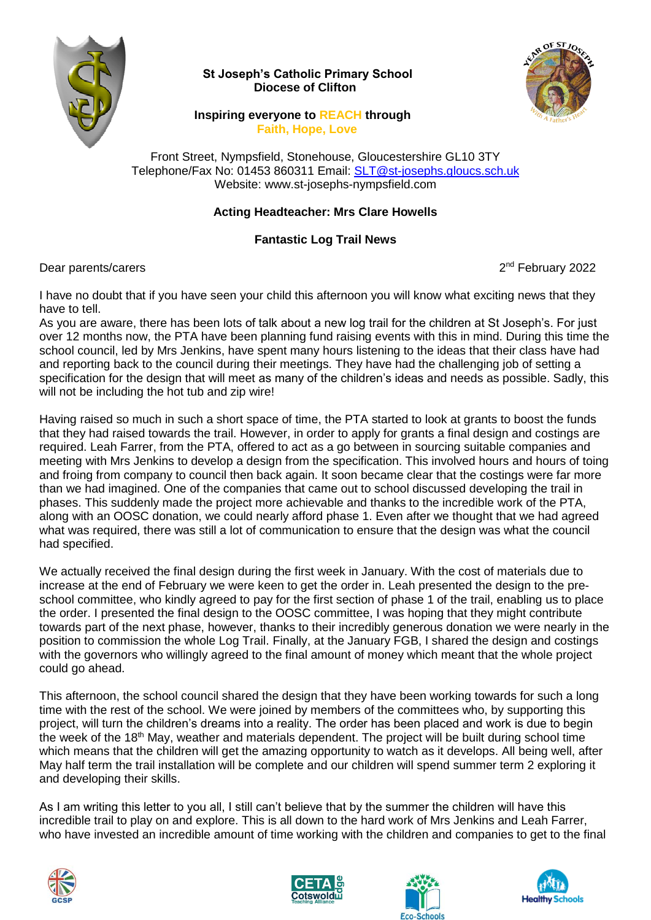

## **St Joseph's Catholic Primary School Diocese of Clifton**



## **Inspiring everyone to REACH through Faith, Hope, Love**

Front Street, Nympsfield, Stonehouse, Gloucestershire GL10 3TY Telephone/Fax No: 01453 860311 Email: [SLT@st-josephs.gloucs.sch.uk](mailto:SLT@st-josephs.gloucs.sch.uk) Website: www.st-josephs-nympsfield.com

## **Acting Headteacher: Mrs Clare Howells**

## **Fantastic Log Trail News**

Dear parents/carers

2<sup>nd</sup> February 2022

I have no doubt that if you have seen your child this afternoon you will know what exciting news that they have to tell.

As you are aware, there has been lots of talk about a new log trail for the children at St Joseph's. For just over 12 months now, the PTA have been planning fund raising events with this in mind. During this time the school council, led by Mrs Jenkins, have spent many hours listening to the ideas that their class have had and reporting back to the council during their meetings. They have had the challenging job of setting a specification for the design that will meet as many of the children's ideas and needs as possible. Sadly, this will not be including the hot tub and zip wire!

Having raised so much in such a short space of time, the PTA started to look at grants to boost the funds that they had raised towards the trail. However, in order to apply for grants a final design and costings are required. Leah Farrer, from the PTA, offered to act as a go between in sourcing suitable companies and meeting with Mrs Jenkins to develop a design from the specification. This involved hours and hours of toing and froing from company to council then back again. It soon became clear that the costings were far more than we had imagined. One of the companies that came out to school discussed developing the trail in phases. This suddenly made the project more achievable and thanks to the incredible work of the PTA, along with an OOSC donation, we could nearly afford phase 1. Even after we thought that we had agreed what was required, there was still a lot of communication to ensure that the design was what the council had specified.

We actually received the final design during the first week in January. With the cost of materials due to increase at the end of February we were keen to get the order in. Leah presented the design to the preschool committee, who kindly agreed to pay for the first section of phase 1 of the trail, enabling us to place the order. I presented the final design to the OOSC committee, I was hoping that they might contribute towards part of the next phase, however, thanks to their incredibly generous donation we were nearly in the position to commission the whole Log Trail. Finally, at the January FGB, I shared the design and costings with the governors who willingly agreed to the final amount of money which meant that the whole project could go ahead.

This afternoon, the school council shared the design that they have been working towards for such a long time with the rest of the school. We were joined by members of the committees who, by supporting this project, will turn the children's dreams into a reality. The order has been placed and work is due to begin the week of the 18<sup>th</sup> May, weather and materials dependent. The project will be built during school time which means that the children will get the amazing opportunity to watch as it develops. All being well, after May half term the trail installation will be complete and our children will spend summer term 2 exploring it and developing their skills.

As I am writing this letter to you all, I still can't believe that by the summer the children will have this incredible trail to play on and explore. This is all down to the hard work of Mrs Jenkins and Leah Farrer, who have invested an incredible amount of time working with the children and companies to get to the final